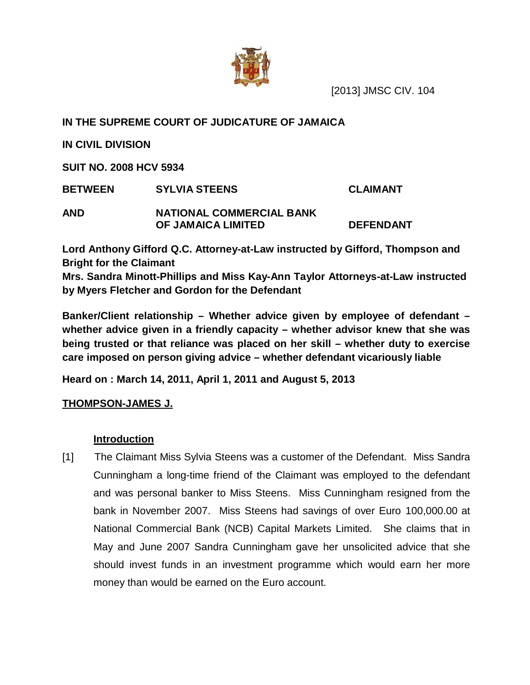

[2013] JMSC CIV. 104

# **IN THE SUPREME COURT OF JUDICATURE OF JAMAICA**

**IN CIVIL DIVISION**

**SUIT NO. 2008 HCV 5934**

**BETWEEN SYLVIA STEENS CLAIMANT AND NATIONAL COMMERCIAL BANK OF JAMAICA LIMITED DEFENDANT**

**Lord Anthony Gifford Q.C. Attorney-at-Law instructed by Gifford, Thompson and Bright for the Claimant**

**Mrs. Sandra Minott-Phillips and Miss Kay-Ann Taylor Attorneys-at-Law instructed by Myers Fletcher and Gordon for the Defendant**

**Banker/Client relationship – Whether advice given by employee of defendant – whether advice given in a friendly capacity – whether advisor knew that she was being trusted or that reliance was placed on her skill – whether duty to exercise care imposed on person giving advice – whether defendant vicariously liable**

**Heard on : March 14, 2011, April 1, 2011 and August 5, 2013**

# **THOMPSON-JAMES J.**

### **Introduction**

[1] The Claimant Miss Sylvia Steens was a customer of the Defendant. Miss Sandra Cunningham a long-time friend of the Claimant was employed to the defendant and was personal banker to Miss Steens. Miss Cunningham resigned from the bank in November 2007. Miss Steens had savings of over Euro 100,000.00 at National Commercial Bank (NCB) Capital Markets Limited. She claims that in May and June 2007 Sandra Cunningham gave her unsolicited advice that she should invest funds in an investment programme which would earn her more money than would be earned on the Euro account.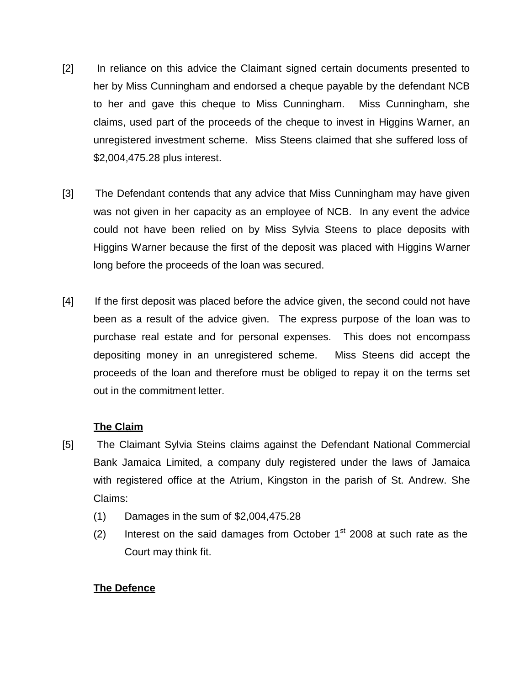- [2] In reliance on this advice the Claimant signed certain documents presented to her by Miss Cunningham and endorsed a cheque payable by the defendant NCB to her and gave this cheque to Miss Cunningham. Miss Cunningham, she claims, used part of the proceeds of the cheque to invest in Higgins Warner, an unregistered investment scheme. Miss Steens claimed that she suffered loss of \$2,004,475.28 plus interest.
- [3] The Defendant contends that any advice that Miss Cunningham may have given was not given in her capacity as an employee of NCB. In any event the advice could not have been relied on by Miss Sylvia Steens to place deposits with Higgins Warner because the first of the deposit was placed with Higgins Warner long before the proceeds of the loan was secured.
- [4] If the first deposit was placed before the advice given, the second could not have been as a result of the advice given. The express purpose of the loan was to purchase real estate and for personal expenses. This does not encompass depositing money in an unregistered scheme. Miss Steens did accept the proceeds of the loan and therefore must be obliged to repay it on the terms set out in the commitment letter.

# **The Claim**

- [5] The Claimant Sylvia Steins claims against the Defendant National Commercial Bank Jamaica Limited, a company duly registered under the laws of Jamaica with registered office at the Atrium, Kingston in the parish of St. Andrew. She Claims:
	- (1) Damages in the sum of \$2,004,475.28
	- (2) Interest on the said damages from October  $1<sup>st</sup>$  2008 at such rate as the Court may think fit.

### **The Defence**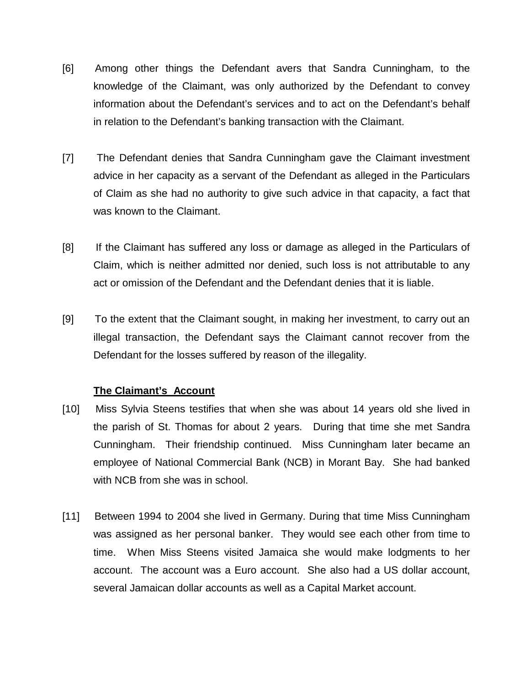- [6] Among other things the Defendant avers that Sandra Cunningham, to the knowledge of the Claimant, was only authorized by the Defendant to convey information about the Defendant's services and to act on the Defendant's behalf in relation to the Defendant's banking transaction with the Claimant.
- [7] The Defendant denies that Sandra Cunningham gave the Claimant investment advice in her capacity as a servant of the Defendant as alleged in the Particulars of Claim as she had no authority to give such advice in that capacity, a fact that was known to the Claimant.
- [8] If the Claimant has suffered any loss or damage as alleged in the Particulars of Claim, which is neither admitted nor denied, such loss is not attributable to any act or omission of the Defendant and the Defendant denies that it is liable.
- [9] To the extent that the Claimant sought, in making her investment, to carry out an illegal transaction, the Defendant says the Claimant cannot recover from the Defendant for the losses suffered by reason of the illegality.

### **The Claimant's Account**

- [10] Miss Sylvia Steens testifies that when she was about 14 years old she lived in the parish of St. Thomas for about 2 years. During that time she met Sandra Cunningham. Their friendship continued. Miss Cunningham later became an employee of National Commercial Bank (NCB) in Morant Bay. She had banked with NCB from she was in school.
- [11] Between 1994 to 2004 she lived in Germany. During that time Miss Cunningham was assigned as her personal banker. They would see each other from time to time. When Miss Steens visited Jamaica she would make lodgments to her account. The account was a Euro account. She also had a US dollar account, several Jamaican dollar accounts as well as a Capital Market account.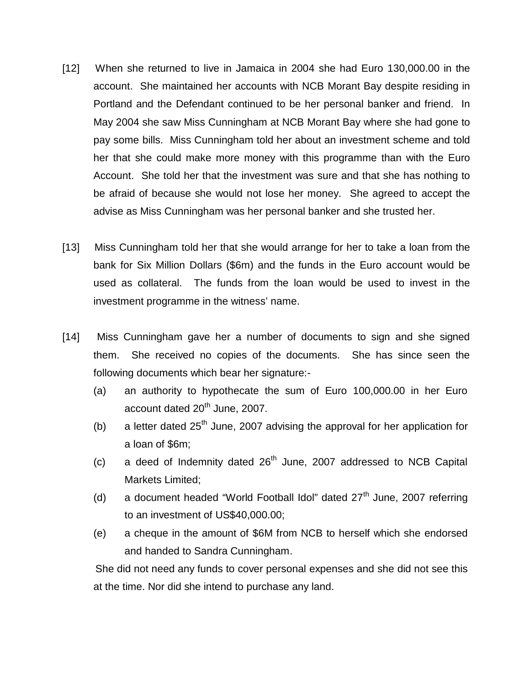- [12] When she returned to live in Jamaica in 2004 she had Euro 130,000.00 in the account. She maintained her accounts with NCB Morant Bay despite residing in Portland and the Defendant continued to be her personal banker and friend. In May 2004 she saw Miss Cunningham at NCB Morant Bay where she had gone to pay some bills. Miss Cunningham told her about an investment scheme and told her that she could make more money with this programme than with the Euro Account. She told her that the investment was sure and that she has nothing to be afraid of because she would not lose her money. She agreed to accept the advise as Miss Cunningham was her personal banker and she trusted her.
- [13] Miss Cunningham told her that she would arrange for her to take a loan from the bank for Six Million Dollars (\$6m) and the funds in the Euro account would be used as collateral. The funds from the loan would be used to invest in the investment programme in the witness' name.
- [14] Miss Cunningham gave her a number of documents to sign and she signed them. She received no copies of the documents. She has since seen the following documents which bear her signature:-
	- (a) an authority to hypothecate the sum of Euro 100,000.00 in her Euro account dated  $20<sup>th</sup>$  June, 2007.
	- (b) a letter dated  $25<sup>th</sup>$  June, 2007 advising the approval for her application for a loan of \$6m;
	- (c) a deed of Indemnity dated  $26<sup>th</sup>$  June, 2007 addressed to NCB Capital Markets Limited;
	- (d) a document headed "World Football Idol" dated  $27<sup>th</sup>$  June, 2007 referring to an investment of US\$40,000.00;
	- (e) a cheque in the amount of \$6M from NCB to herself which she endorsed and handed to Sandra Cunningham.

She did not need any funds to cover personal expenses and she did not see this at the time. Nor did she intend to purchase any land.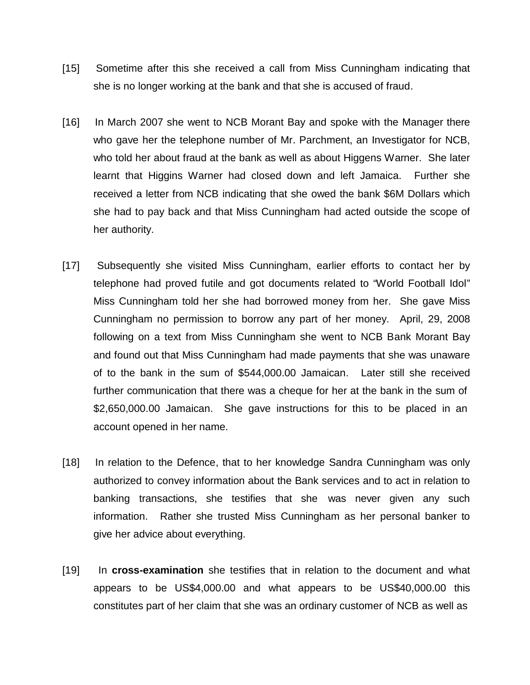- [15] Sometime after this she received a call from Miss Cunningham indicating that she is no longer working at the bank and that she is accused of fraud.
- [16] In March 2007 she went to NCB Morant Bay and spoke with the Manager there who gave her the telephone number of Mr. Parchment, an Investigator for NCB, who told her about fraud at the bank as well as about Higgens Warner. She later learnt that Higgins Warner had closed down and left Jamaica. Further she received a letter from NCB indicating that she owed the bank \$6M Dollars which she had to pay back and that Miss Cunningham had acted outside the scope of her authority.
- [17] Subsequently she visited Miss Cunningham, earlier efforts to contact her by telephone had proved futile and got documents related to "World Football Idol" Miss Cunningham told her she had borrowed money from her. She gave Miss Cunningham no permission to borrow any part of her money. April, 29, 2008 following on a text from Miss Cunningham she went to NCB Bank Morant Bay and found out that Miss Cunningham had made payments that she was unaware of to the bank in the sum of \$544,000.00 Jamaican. Later still she received further communication that there was a cheque for her at the bank in the sum of \$2,650,000.00 Jamaican. She gave instructions for this to be placed in an account opened in her name.
- [18] In relation to the Defence, that to her knowledge Sandra Cunningham was only authorized to convey information about the Bank services and to act in relation to banking transactions, she testifies that she was never given any such information. Rather she trusted Miss Cunningham as her personal banker to give her advice about everything.
- [19] In **cross-examination** she testifies that in relation to the document and what appears to be US\$4,000.00 and what appears to be US\$40,000.00 this constitutes part of her claim that she was an ordinary customer of NCB as well as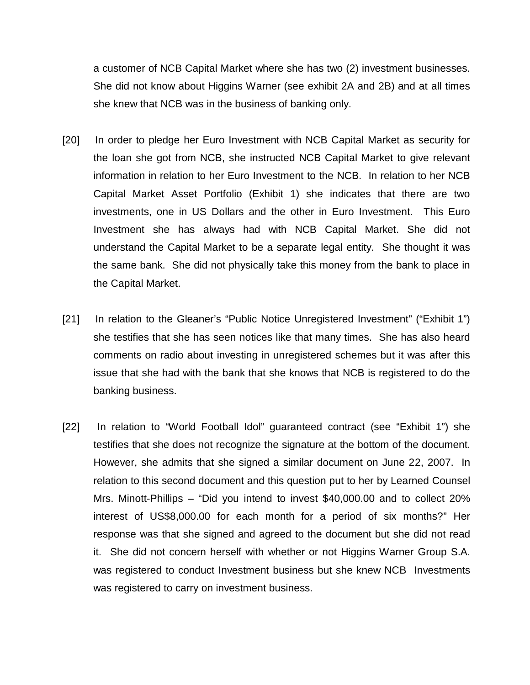a customer of NCB Capital Market where she has two (2) investment businesses. She did not know about Higgins Warner (see exhibit 2A and 2B) and at all times she knew that NCB was in the business of banking only.

- [20] In order to pledge her Euro Investment with NCB Capital Market as security for the loan she got from NCB, she instructed NCB Capital Market to give relevant information in relation to her Euro Investment to the NCB. In relation to her NCB Capital Market Asset Portfolio (Exhibit 1) she indicates that there are two investments, one in US Dollars and the other in Euro Investment. This Euro Investment she has always had with NCB Capital Market. She did not understand the Capital Market to be a separate legal entity. She thought it was the same bank. She did not physically take this money from the bank to place in the Capital Market.
- [21] In relation to the Gleaner's "Public Notice Unregistered Investment" ("Exhibit 1") she testifies that she has seen notices like that many times. She has also heard comments on radio about investing in unregistered schemes but it was after this issue that she had with the bank that she knows that NCB is registered to do the banking business.
- [22] In relation to "World Football Idol" guaranteed contract (see "Exhibit 1") she testifies that she does not recognize the signature at the bottom of the document. However, she admits that she signed a similar document on June 22, 2007. In relation to this second document and this question put to her by Learned Counsel Mrs. Minott-Phillips – "Did you intend to invest \$40,000.00 and to collect 20% interest of US\$8,000.00 for each month for a period of six months?" Her response was that she signed and agreed to the document but she did not read it. She did not concern herself with whether or not Higgins Warner Group S.A. was registered to conduct Investment business but she knew NCB Investments was registered to carry on investment business.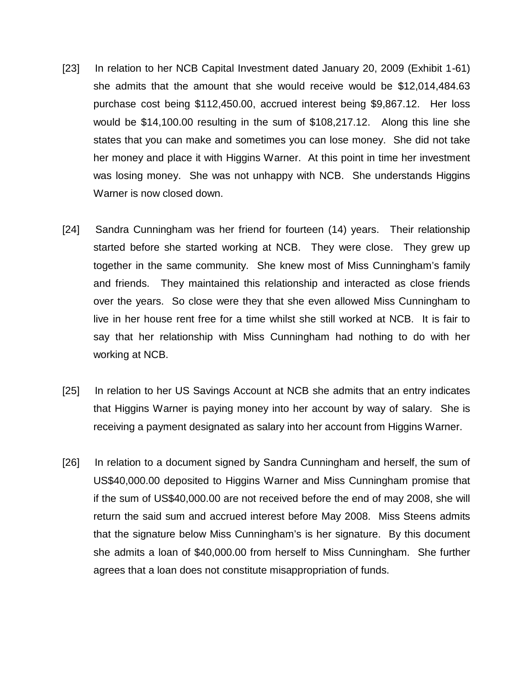- [23] In relation to her NCB Capital Investment dated January 20, 2009 (Exhibit 1-61) she admits that the amount that she would receive would be \$12,014,484.63 purchase cost being \$112,450.00, accrued interest being \$9,867.12. Her loss would be \$14,100.00 resulting in the sum of \$108,217.12. Along this line she states that you can make and sometimes you can lose money. She did not take her money and place it with Higgins Warner. At this point in time her investment was losing money. She was not unhappy with NCB. She understands Higgins Warner is now closed down.
- [24] Sandra Cunningham was her friend for fourteen (14) years. Their relationship started before she started working at NCB. They were close. They grew up together in the same community. She knew most of Miss Cunningham's family and friends. They maintained this relationship and interacted as close friends over the years. So close were they that she even allowed Miss Cunningham to live in her house rent free for a time whilst she still worked at NCB. It is fair to say that her relationship with Miss Cunningham had nothing to do with her working at NCB.
- [25] In relation to her US Savings Account at NCB she admits that an entry indicates that Higgins Warner is paying money into her account by way of salary. She is receiving a payment designated as salary into her account from Higgins Warner.
- [26] In relation to a document signed by Sandra Cunningham and herself, the sum of US\$40,000.00 deposited to Higgins Warner and Miss Cunningham promise that if the sum of US\$40,000.00 are not received before the end of may 2008, she will return the said sum and accrued interest before May 2008. Miss Steens admits that the signature below Miss Cunningham's is her signature. By this document she admits a loan of \$40,000.00 from herself to Miss Cunningham. She further agrees that a loan does not constitute misappropriation of funds.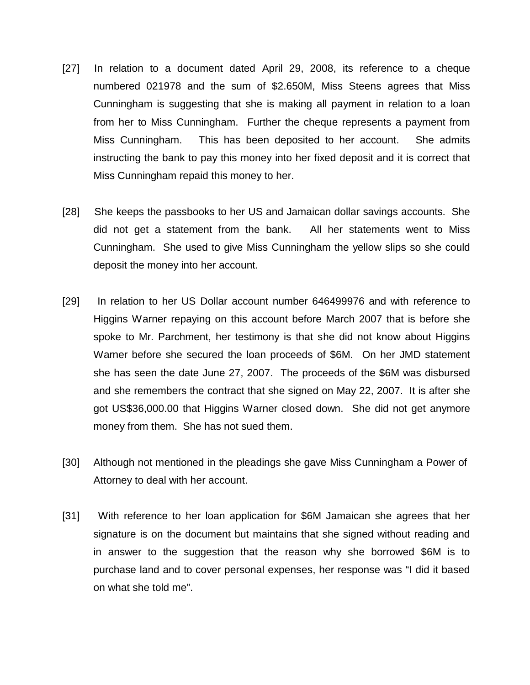- [27] In relation to a document dated April 29, 2008, its reference to a cheque numbered 021978 and the sum of \$2.650M, Miss Steens agrees that Miss Cunningham is suggesting that she is making all payment in relation to a loan from her to Miss Cunningham. Further the cheque represents a payment from Miss Cunningham. This has been deposited to her account. She admits instructing the bank to pay this money into her fixed deposit and it is correct that Miss Cunningham repaid this money to her.
- [28] She keeps the passbooks to her US and Jamaican dollar savings accounts. She did not get a statement from the bank. All her statements went to Miss Cunningham. She used to give Miss Cunningham the yellow slips so she could deposit the money into her account.
- [29] In relation to her US Dollar account number 646499976 and with reference to Higgins Warner repaying on this account before March 2007 that is before she spoke to Mr. Parchment, her testimony is that she did not know about Higgins Warner before she secured the loan proceeds of \$6M. On her JMD statement she has seen the date June 27, 2007. The proceeds of the \$6M was disbursed and she remembers the contract that she signed on May 22, 2007. It is after she got US\$36,000.00 that Higgins Warner closed down. She did not get anymore money from them. She has not sued them.
- [30] Although not mentioned in the pleadings she gave Miss Cunningham a Power of Attorney to deal with her account.
- [31] With reference to her loan application for \$6M Jamaican she agrees that her signature is on the document but maintains that she signed without reading and in answer to the suggestion that the reason why she borrowed \$6M is to purchase land and to cover personal expenses, her response was "I did it based on what she told me".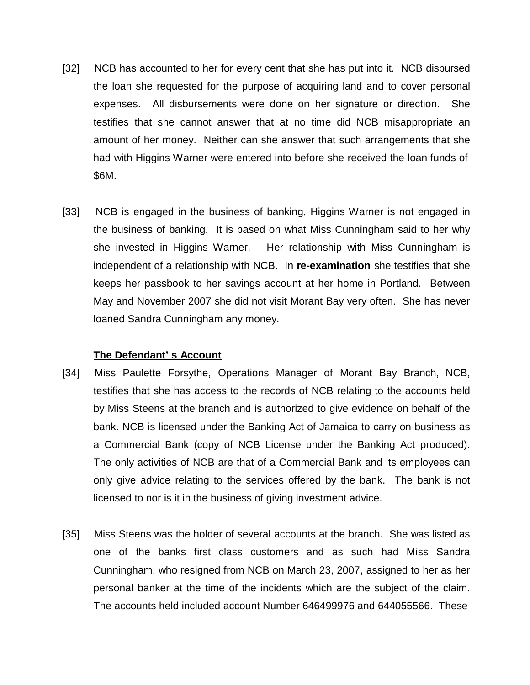- [32] NCB has accounted to her for every cent that she has put into it. NCB disbursed the loan she requested for the purpose of acquiring land and to cover personal expenses. All disbursements were done on her signature or direction. She testifies that she cannot answer that at no time did NCB misappropriate an amount of her money. Neither can she answer that such arrangements that she had with Higgins Warner were entered into before she received the loan funds of \$6M.
- [33] NCB is engaged in the business of banking, Higgins Warner is not engaged in the business of banking. It is based on what Miss Cunningham said to her why she invested in Higgins Warner. Her relationship with Miss Cunningham is independent of a relationship with NCB. In **re-examination** she testifies that she keeps her passbook to her savings account at her home in Portland. Between May and November 2007 she did not visit Morant Bay very often. She has never loaned Sandra Cunningham any money.

#### **The Defendant' s Account**

- [34] Miss Paulette Forsythe, Operations Manager of Morant Bay Branch, NCB, testifies that she has access to the records of NCB relating to the accounts held by Miss Steens at the branch and is authorized to give evidence on behalf of the bank. NCB is licensed under the Banking Act of Jamaica to carry on business as a Commercial Bank (copy of NCB License under the Banking Act produced). The only activities of NCB are that of a Commercial Bank and its employees can only give advice relating to the services offered by the bank. The bank is not licensed to nor is it in the business of giving investment advice.
- [35] Miss Steens was the holder of several accounts at the branch. She was listed as one of the banks first class customers and as such had Miss Sandra Cunningham, who resigned from NCB on March 23, 2007, assigned to her as her personal banker at the time of the incidents which are the subject of the claim. The accounts held included account Number 646499976 and 644055566. These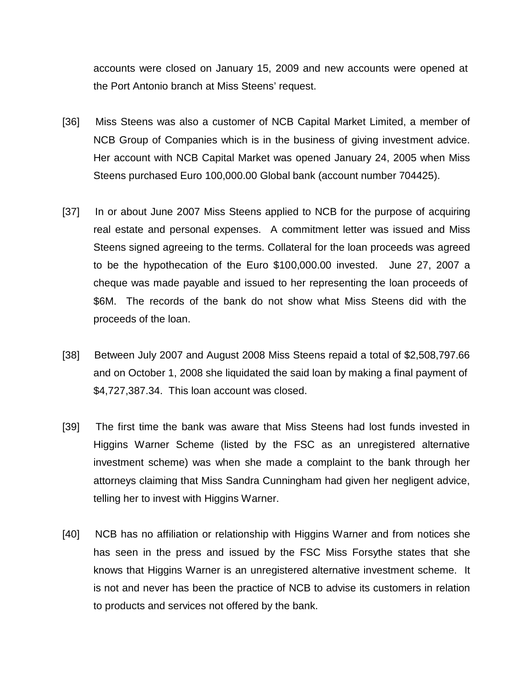accounts were closed on January 15, 2009 and new accounts were opened at the Port Antonio branch at Miss Steens' request.

- [36] Miss Steens was also a customer of NCB Capital Market Limited, a member of NCB Group of Companies which is in the business of giving investment advice. Her account with NCB Capital Market was opened January 24, 2005 when Miss Steens purchased Euro 100,000.00 Global bank (account number 704425).
- [37] In or about June 2007 Miss Steens applied to NCB for the purpose of acquiring real estate and personal expenses. A commitment letter was issued and Miss Steens signed agreeing to the terms. Collateral for the loan proceeds was agreed to be the hypothecation of the Euro \$100,000.00 invested. June 27, 2007 a cheque was made payable and issued to her representing the loan proceeds of \$6M. The records of the bank do not show what Miss Steens did with the proceeds of the loan.
- [38] Between July 2007 and August 2008 Miss Steens repaid a total of \$2,508,797.66 and on October 1, 2008 she liquidated the said loan by making a final payment of \$4,727,387.34. This loan account was closed.
- [39] The first time the bank was aware that Miss Steens had lost funds invested in Higgins Warner Scheme (listed by the FSC as an unregistered alternative investment scheme) was when she made a complaint to the bank through her attorneys claiming that Miss Sandra Cunningham had given her negligent advice, telling her to invest with Higgins Warner.
- [40] NCB has no affiliation or relationship with Higgins Warner and from notices she has seen in the press and issued by the FSC Miss Forsythe states that she knows that Higgins Warner is an unregistered alternative investment scheme. It is not and never has been the practice of NCB to advise its customers in relation to products and services not offered by the bank.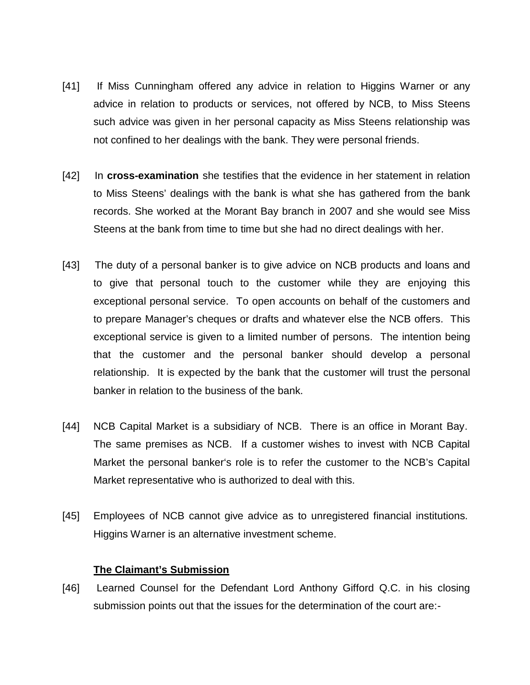- [41] If Miss Cunningham offered any advice in relation to Higgins Warner or any advice in relation to products or services, not offered by NCB, to Miss Steens such advice was given in her personal capacity as Miss Steens relationship was not confined to her dealings with the bank. They were personal friends.
- [42] In **cross-examination** she testifies that the evidence in her statement in relation to Miss Steens' dealings with the bank is what she has gathered from the bank records. She worked at the Morant Bay branch in 2007 and she would see Miss Steens at the bank from time to time but she had no direct dealings with her.
- [43] The duty of a personal banker is to give advice on NCB products and loans and to give that personal touch to the customer while they are enjoying this exceptional personal service. To open accounts on behalf of the customers and to prepare Manager's cheques or drafts and whatever else the NCB offers. This exceptional service is given to a limited number of persons. The intention being that the customer and the personal banker should develop a personal relationship. It is expected by the bank that the customer will trust the personal banker in relation to the business of the bank.
- [44] NCB Capital Market is a subsidiary of NCB. There is an office in Morant Bay. The same premises as NCB. If a customer wishes to invest with NCB Capital Market the personal banker's role is to refer the customer to the NCB's Capital Market representative who is authorized to deal with this.
- [45] Employees of NCB cannot give advice as to unregistered financial institutions. Higgins Warner is an alternative investment scheme.

### **The Claimant's Submission**

[46] Learned Counsel for the Defendant Lord Anthony Gifford Q.C. in his closing submission points out that the issues for the determination of the court are:-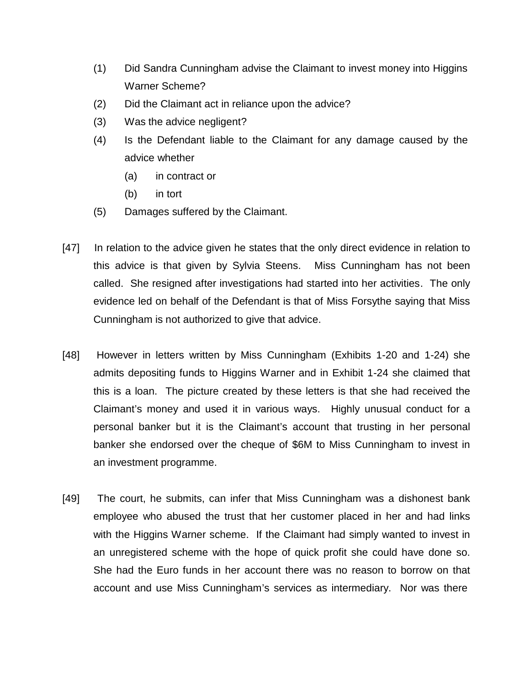- (1) Did Sandra Cunningham advise the Claimant to invest money into Higgins Warner Scheme?
- (2) Did the Claimant act in reliance upon the advice?
- (3) Was the advice negligent?
- (4) Is the Defendant liable to the Claimant for any damage caused by the advice whether
	- (a) in contract or
	- (b) in tort
- (5) Damages suffered by the Claimant.
- [47] In relation to the advice given he states that the only direct evidence in relation to this advice is that given by Sylvia Steens. Miss Cunningham has not been called. She resigned after investigations had started into her activities. The only evidence led on behalf of the Defendant is that of Miss Forsythe saying that Miss Cunningham is not authorized to give that advice.
- [48] However in letters written by Miss Cunningham (Exhibits 1-20 and 1-24) she admits depositing funds to Higgins Warner and in Exhibit 1-24 she claimed that this is a loan. The picture created by these letters is that she had received the Claimant's money and used it in various ways. Highly unusual conduct for a personal banker but it is the Claimant's account that trusting in her personal banker she endorsed over the cheque of \$6M to Miss Cunningham to invest in an investment programme.
- [49] The court, he submits, can infer that Miss Cunningham was a dishonest bank employee who abused the trust that her customer placed in her and had links with the Higgins Warner scheme. If the Claimant had simply wanted to invest in an unregistered scheme with the hope of quick profit she could have done so. She had the Euro funds in her account there was no reason to borrow on that account and use Miss Cunningham's services as intermediary. Nor was there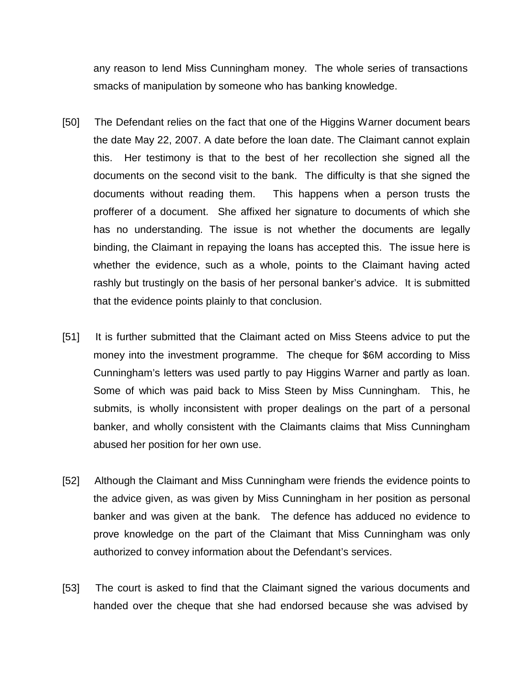any reason to lend Miss Cunningham money. The whole series of transactions smacks of manipulation by someone who has banking knowledge.

- [50] The Defendant relies on the fact that one of the Higgins Warner document bears the date May 22, 2007. A date before the loan date. The Claimant cannot explain this. Her testimony is that to the best of her recollection she signed all the documents on the second visit to the bank. The difficulty is that she signed the documents without reading them. This happens when a person trusts the profferer of a document. She affixed her signature to documents of which she has no understanding. The issue is not whether the documents are legally binding, the Claimant in repaying the loans has accepted this. The issue here is whether the evidence, such as a whole, points to the Claimant having acted rashly but trustingly on the basis of her personal banker's advice. It is submitted that the evidence points plainly to that conclusion.
- [51] It is further submitted that the Claimant acted on Miss Steens advice to put the money into the investment programme. The cheque for \$6M according to Miss Cunningham's letters was used partly to pay Higgins Warner and partly as loan. Some of which was paid back to Miss Steen by Miss Cunningham. This, he submits, is wholly inconsistent with proper dealings on the part of a personal banker, and wholly consistent with the Claimants claims that Miss Cunningham abused her position for her own use.
- [52] Although the Claimant and Miss Cunningham were friends the evidence points to the advice given, as was given by Miss Cunningham in her position as personal banker and was given at the bank. The defence has adduced no evidence to prove knowledge on the part of the Claimant that Miss Cunningham was only authorized to convey information about the Defendant's services.
- [53] The court is asked to find that the Claimant signed the various documents and handed over the cheque that she had endorsed because she was advised by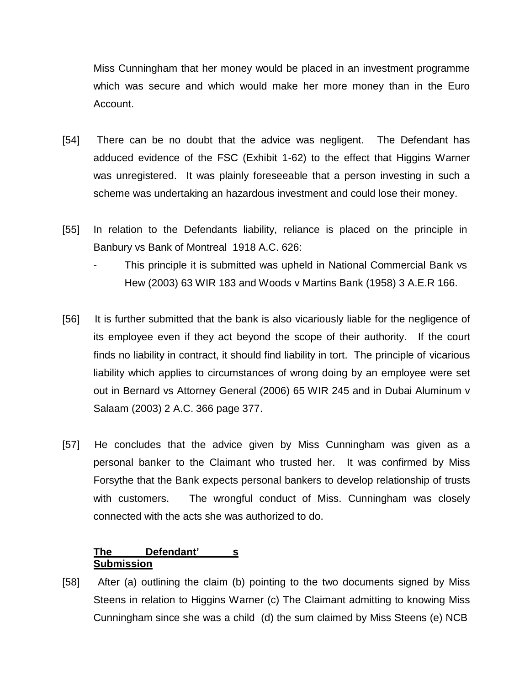Miss Cunningham that her money would be placed in an investment programme which was secure and which would make her more money than in the Euro Account.

- [54] There can be no doubt that the advice was negligent. The Defendant has adduced evidence of the FSC (Exhibit 1-62) to the effect that Higgins Warner was unregistered. It was plainly foreseeable that a person investing in such a scheme was undertaking an hazardous investment and could lose their money.
- [55] In relation to the Defendants liability, reliance is placed on the principle in Banbury vs Bank of Montreal 1918 A.C. 626:
	- This principle it is submitted was upheld in National Commercial Bank vs Hew (2003) 63 WIR 183 and Woods v Martins Bank (1958) 3 A.E.R 166.
- [56] It is further submitted that the bank is also vicariously liable for the negligence of its employee even if they act beyond the scope of their authority. If the court finds no liability in contract, it should find liability in tort. The principle of vicarious liability which applies to circumstances of wrong doing by an employee were set out in Bernard vs Attorney General (2006) 65 WIR 245 and in Dubai Aluminum v Salaam (2003) 2 A.C. 366 page 377.
- [57] He concludes that the advice given by Miss Cunningham was given as a personal banker to the Claimant who trusted her. It was confirmed by Miss Forsythe that the Bank expects personal bankers to develop relationship of trusts with customers. The wrongful conduct of Miss. Cunningham was closely connected with the acts she was authorized to do.

### **The Defendant' s Submission**

[58] After (a) outlining the claim (b) pointing to the two documents signed by Miss Steens in relation to Higgins Warner (c) The Claimant admitting to knowing Miss Cunningham since she was a child (d) the sum claimed by Miss Steens (e) NCB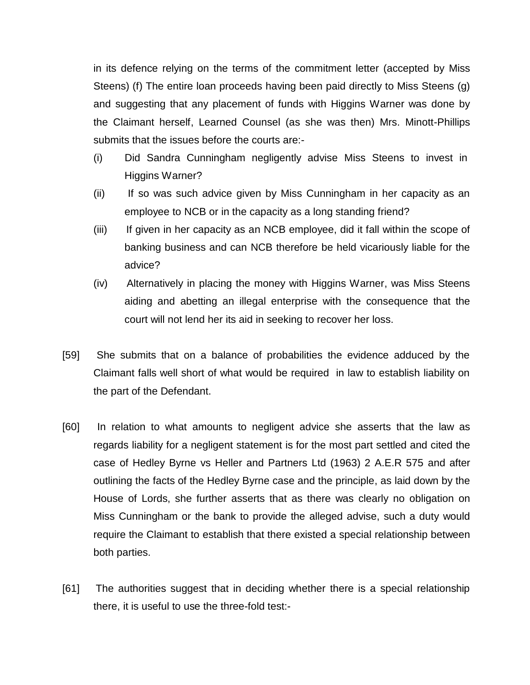in its defence relying on the terms of the commitment letter (accepted by Miss Steens) (f) The entire loan proceeds having been paid directly to Miss Steens (g) and suggesting that any placement of funds with Higgins Warner was done by the Claimant herself, Learned Counsel (as she was then) Mrs. Minott-Phillips submits that the issues before the courts are:-

- (i) Did Sandra Cunningham negligently advise Miss Steens to invest in Higgins Warner?
- (ii) If so was such advice given by Miss Cunningham in her capacity as an employee to NCB or in the capacity as a long standing friend?
- (iii) If given in her capacity as an NCB employee, did it fall within the scope of banking business and can NCB therefore be held vicariously liable for the advice?
- (iv) Alternatively in placing the money with Higgins Warner, was Miss Steens aiding and abetting an illegal enterprise with the consequence that the court will not lend her its aid in seeking to recover her loss.
- [59] She submits that on a balance of probabilities the evidence adduced by the Claimant falls well short of what would be required in law to establish liability on the part of the Defendant.
- [60] In relation to what amounts to negligent advice she asserts that the law as regards liability for a negligent statement is for the most part settled and cited the case of Hedley Byrne vs Heller and Partners Ltd (1963) 2 A.E.R 575 and after outlining the facts of the Hedley Byrne case and the principle, as laid down by the House of Lords, she further asserts that as there was clearly no obligation on Miss Cunningham or the bank to provide the alleged advise, such a duty would require the Claimant to establish that there existed a special relationship between both parties.
- [61] The authorities suggest that in deciding whether there is a special relationship there, it is useful to use the three-fold test:-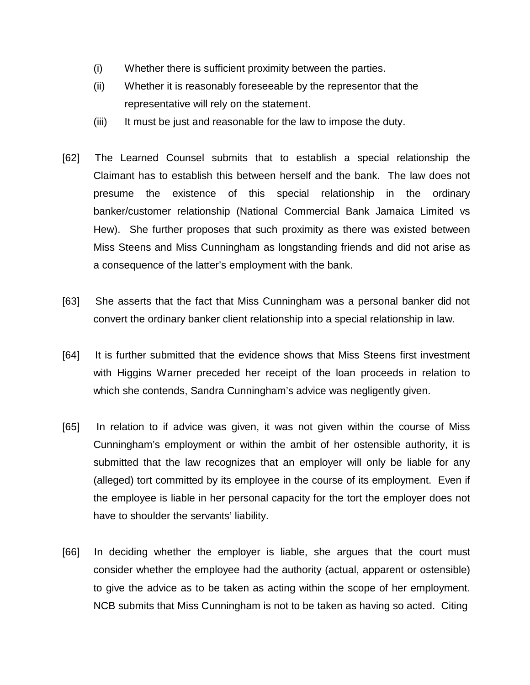- (i) Whether there is sufficient proximity between the parties.
- (ii) Whether it is reasonably foreseeable by the representor that the representative will rely on the statement.
- (iii) It must be just and reasonable for the law to impose the duty.
- [62] The Learned Counsel submits that to establish a special relationship the Claimant has to establish this between herself and the bank. The law does not presume the existence of this special relationship in the ordinary banker/customer relationship (National Commercial Bank Jamaica Limited vs Hew). She further proposes that such proximity as there was existed between Miss Steens and Miss Cunningham as longstanding friends and did not arise as a consequence of the latter's employment with the bank.
- [63] She asserts that the fact that Miss Cunningham was a personal banker did not convert the ordinary banker client relationship into a special relationship in law.
- [64] It is further submitted that the evidence shows that Miss Steens first investment with Higgins Warner preceded her receipt of the loan proceeds in relation to which she contends, Sandra Cunningham's advice was negligently given.
- [65] In relation to if advice was given, it was not given within the course of Miss Cunningham's employment or within the ambit of her ostensible authority, it is submitted that the law recognizes that an employer will only be liable for any (alleged) tort committed by its employee in the course of its employment. Even if the employee is liable in her personal capacity for the tort the employer does not have to shoulder the servants' liability.
- [66] In deciding whether the employer is liable, she argues that the court must consider whether the employee had the authority (actual, apparent or ostensible) to give the advice as to be taken as acting within the scope of her employment. NCB submits that Miss Cunningham is not to be taken as having so acted. Citing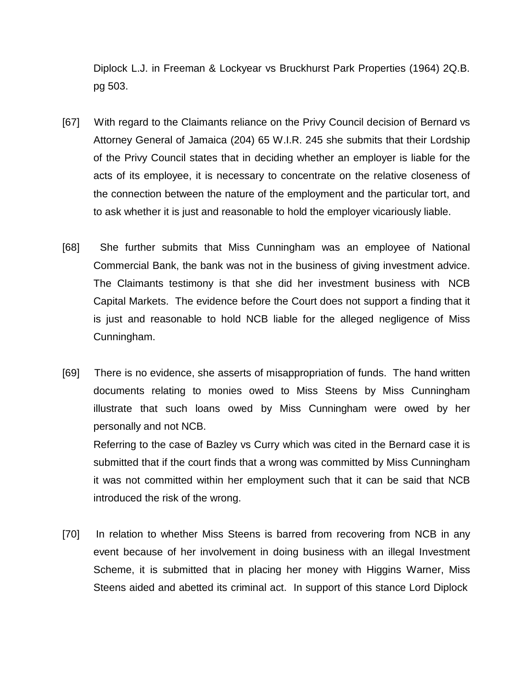Diplock L.J. in Freeman & Lockyear vs Bruckhurst Park Properties (1964) 2Q.B. pg 503.

- [67] With regard to the Claimants reliance on the Privy Council decision of Bernard vs Attorney General of Jamaica (204) 65 W.I.R. 245 she submits that their Lordship of the Privy Council states that in deciding whether an employer is liable for the acts of its employee, it is necessary to concentrate on the relative closeness of the connection between the nature of the employment and the particular tort, and to ask whether it is just and reasonable to hold the employer vicariously liable.
- [68] She further submits that Miss Cunningham was an employee of National Commercial Bank, the bank was not in the business of giving investment advice. The Claimants testimony is that she did her investment business with NCB Capital Markets. The evidence before the Court does not support a finding that it is just and reasonable to hold NCB liable for the alleged negligence of Miss Cunningham.
- [69] There is no evidence, she asserts of misappropriation of funds. The hand written documents relating to monies owed to Miss Steens by Miss Cunningham illustrate that such loans owed by Miss Cunningham were owed by her personally and not NCB.

Referring to the case of Bazley vs Curry which was cited in the Bernard case it is submitted that if the court finds that a wrong was committed by Miss Cunningham it was not committed within her employment such that it can be said that NCB introduced the risk of the wrong.

[70] In relation to whether Miss Steens is barred from recovering from NCB in any event because of her involvement in doing business with an illegal Investment Scheme, it is submitted that in placing her money with Higgins Warner, Miss Steens aided and abetted its criminal act. In support of this stance Lord Diplock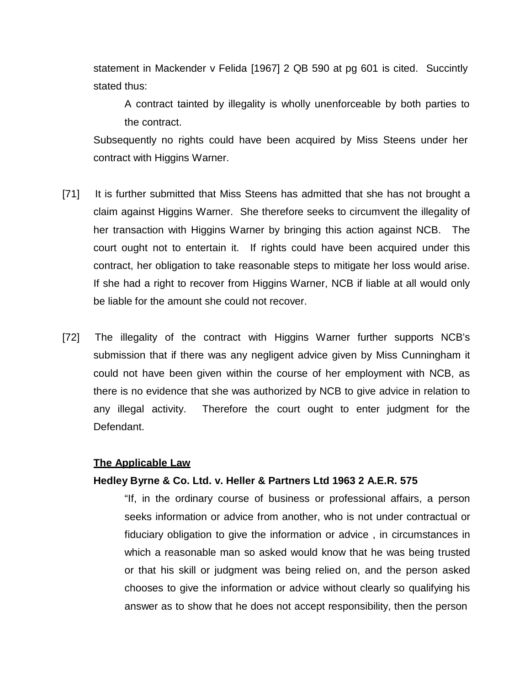statement in Mackender v Felida [1967] 2 QB 590 at pg 601 is cited. Succintly stated thus:

A contract tainted by illegality is wholly unenforceable by both parties to the contract.

Subsequently no rights could have been acquired by Miss Steens under her contract with Higgins Warner.

- [71] It is further submitted that Miss Steens has admitted that she has not brought a claim against Higgins Warner. She therefore seeks to circumvent the illegality of her transaction with Higgins Warner by bringing this action against NCB. The court ought not to entertain it. If rights could have been acquired under this contract, her obligation to take reasonable steps to mitigate her loss would arise. If she had a right to recover from Higgins Warner, NCB if liable at all would only be liable for the amount she could not recover.
- [72] The illegality of the contract with Higgins Warner further supports NCB's submission that if there was any negligent advice given by Miss Cunningham it could not have been given within the course of her employment with NCB, as there is no evidence that she was authorized by NCB to give advice in relation to any illegal activity. Therefore the court ought to enter judgment for the Defendant.

#### **The Applicable Law**

#### **Hedley Byrne & Co. Ltd. v. Heller & Partners Ltd 1963 2 A.E.R. 575**

"If, in the ordinary course of business or professional affairs, a person seeks information or advice from another, who is not under contractual or fiduciary obligation to give the information or advice , in circumstances in which a reasonable man so asked would know that he was being trusted or that his skill or judgment was being relied on, and the person asked chooses to give the information or advice without clearly so qualifying his answer as to show that he does not accept responsibility, then the person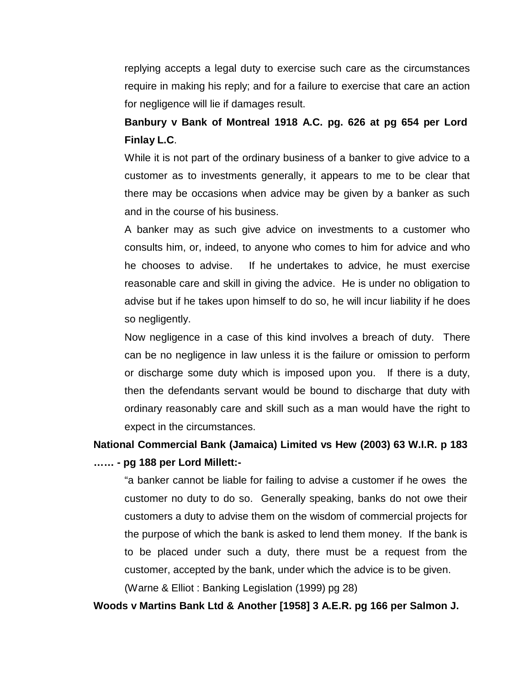replying accepts a legal duty to exercise such care as the circumstances require in making his reply; and for a failure to exercise that care an action for negligence will lie if damages result.

# **Banbury v Bank of Montreal 1918 A.C. pg. 626 at pg 654 per Lord Finlay L.C**.

While it is not part of the ordinary business of a banker to give advice to a customer as to investments generally, it appears to me to be clear that there may be occasions when advice may be given by a banker as such and in the course of his business.

A banker may as such give advice on investments to a customer who consults him, or, indeed, to anyone who comes to him for advice and who he chooses to advise. If he undertakes to advice, he must exercise reasonable care and skill in giving the advice. He is under no obligation to advise but if he takes upon himself to do so, he will incur liability if he does so negligently.

Now negligence in a case of this kind involves a breach of duty. There can be no negligence in law unless it is the failure or omission to perform or discharge some duty which is imposed upon you. If there is a duty, then the defendants servant would be bound to discharge that duty with ordinary reasonably care and skill such as a man would have the right to expect in the circumstances.

# **National Commercial Bank (Jamaica) Limited vs Hew (2003) 63 W.I.R. p 183 …… - pg 188 per Lord Millett:-**

"a banker cannot be liable for failing to advise a customer if he owes the customer no duty to do so. Generally speaking, banks do not owe their customers a duty to advise them on the wisdom of commercial projects for the purpose of which the bank is asked to lend them money. If the bank is to be placed under such a duty, there must be a request from the customer, accepted by the bank, under which the advice is to be given. (Warne & Elliot : Banking Legislation (1999) pg 28)

### **Woods v Martins Bank Ltd & Another [1958] 3 A.E.R. pg 166 per Salmon J.**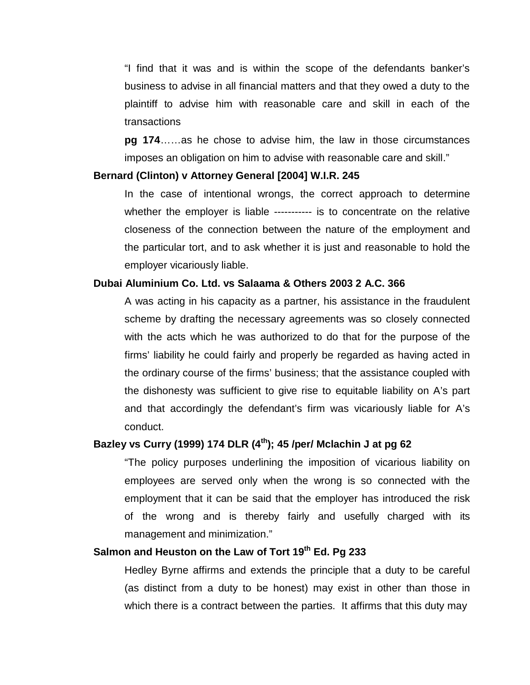"I find that it was and is within the scope of the defendants banker's business to advise in all financial matters and that they owed a duty to the plaintiff to advise him with reasonable care and skill in each of the transactions

**pg 174**……as he chose to advise him, the law in those circumstances imposes an obligation on him to advise with reasonable care and skill."

#### **Bernard (Clinton) v Attorney General [2004] W.I.R. 245**

In the case of intentional wrongs, the correct approach to determine whether the employer is liable ----------- is to concentrate on the relative closeness of the connection between the nature of the employment and the particular tort, and to ask whether it is just and reasonable to hold the employer vicariously liable.

#### **Dubai Aluminium Co. Ltd. vs Salaama & Others 2003 2 A.C. 366**

A was acting in his capacity as a partner, his assistance in the fraudulent scheme by drafting the necessary agreements was so closely connected with the acts which he was authorized to do that for the purpose of the firms' liability he could fairly and properly be regarded as having acted in the ordinary course of the firms' business; that the assistance coupled with the dishonesty was sufficient to give rise to equitable liability on A's part and that accordingly the defendant's firm was vicariously liable for A's conduct.

# **Bazley vs Curry (1999) 174 DLR (4th ); 45 /per/ Mclachin J at pg 62**

"The policy purposes underlining the imposition of vicarious liability on employees are served only when the wrong is so connected with the employment that it can be said that the employer has introduced the risk of the wrong and is thereby fairly and usefully charged with its management and minimization."

# **Salmon and Heuston on the Law of Tort 19th Ed. Pg 233**

Hedley Byrne affirms and extends the principle that a duty to be careful (as distinct from a duty to be honest) may exist in other than those in which there is a contract between the parties. It affirms that this duty may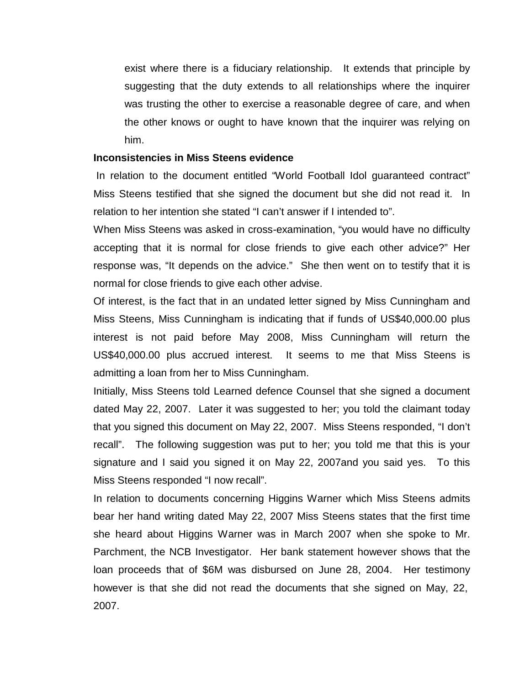exist where there is a fiduciary relationship. It extends that principle by suggesting that the duty extends to all relationships where the inquirer was trusting the other to exercise a reasonable degree of care, and when the other knows or ought to have known that the inquirer was relying on him.

#### **Inconsistencies in Miss Steens evidence**

In relation to the document entitled "World Football Idol guaranteed contract" Miss Steens testified that she signed the document but she did not read it. In relation to her intention she stated "I can't answer if I intended to".

When Miss Steens was asked in cross-examination, "you would have no difficulty accepting that it is normal for close friends to give each other advice?" Her response was, "It depends on the advice." She then went on to testify that it is normal for close friends to give each other advise.

Of interest, is the fact that in an undated letter signed by Miss Cunningham and Miss Steens, Miss Cunningham is indicating that if funds of US\$40,000.00 plus interest is not paid before May 2008, Miss Cunningham will return the US\$40,000.00 plus accrued interest. It seems to me that Miss Steens is admitting a loan from her to Miss Cunningham.

Initially, Miss Steens told Learned defence Counsel that she signed a document dated May 22, 2007. Later it was suggested to her; you told the claimant today that you signed this document on May 22, 2007. Miss Steens responded, "I don't recall". The following suggestion was put to her; you told me that this is your signature and I said you signed it on May 22, 2007and you said yes. To this Miss Steens responded "I now recall".

In relation to documents concerning Higgins Warner which Miss Steens admits bear her hand writing dated May 22, 2007 Miss Steens states that the first time she heard about Higgins Warner was in March 2007 when she spoke to Mr. Parchment, the NCB Investigator. Her bank statement however shows that the loan proceeds that of \$6M was disbursed on June 28, 2004. Her testimony however is that she did not read the documents that she signed on May, 22, 2007.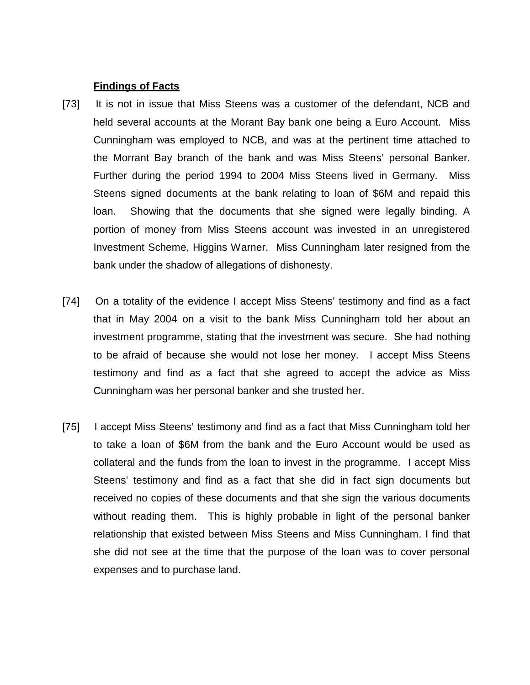#### **Findings of Facts**

- [73] It is not in issue that Miss Steens was a customer of the defendant, NCB and held several accounts at the Morant Bay bank one being a Euro Account. Miss Cunningham was employed to NCB, and was at the pertinent time attached to the Morrant Bay branch of the bank and was Miss Steens' personal Banker. Further during the period 1994 to 2004 Miss Steens lived in Germany. Miss Steens signed documents at the bank relating to loan of \$6M and repaid this loan. Showing that the documents that she signed were legally binding. A portion of money from Miss Steens account was invested in an unregistered Investment Scheme, Higgins Warner. Miss Cunningham later resigned from the bank under the shadow of allegations of dishonesty.
- [74] On a totality of the evidence I accept Miss Steens' testimony and find as a fact that in May 2004 on a visit to the bank Miss Cunningham told her about an investment programme, stating that the investment was secure. She had nothing to be afraid of because she would not lose her money. I accept Miss Steens testimony and find as a fact that she agreed to accept the advice as Miss Cunningham was her personal banker and she trusted her.
- [75] I accept Miss Steens' testimony and find as a fact that Miss Cunningham told her to take a loan of \$6M from the bank and the Euro Account would be used as collateral and the funds from the loan to invest in the programme. I accept Miss Steens' testimony and find as a fact that she did in fact sign documents but received no copies of these documents and that she sign the various documents without reading them. This is highly probable in light of the personal banker relationship that existed between Miss Steens and Miss Cunningham. I find that she did not see at the time that the purpose of the loan was to cover personal expenses and to purchase land.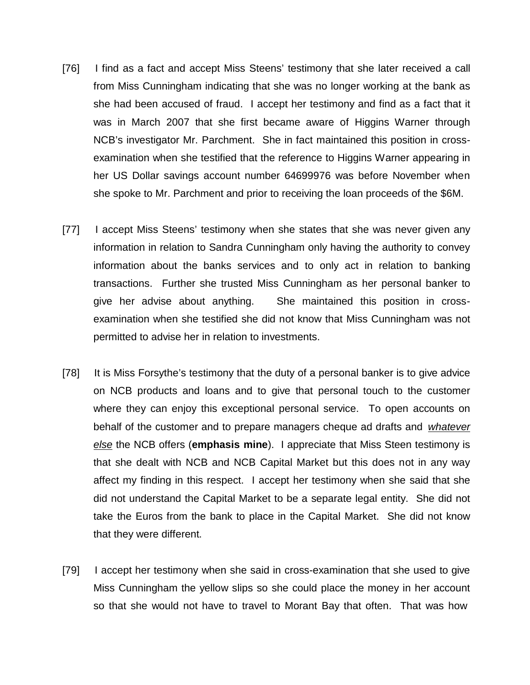- [76] I find as a fact and accept Miss Steens' testimony that she later received a call from Miss Cunningham indicating that she was no longer working at the bank as she had been accused of fraud. I accept her testimony and find as a fact that it was in March 2007 that she first became aware of Higgins Warner through NCB's investigator Mr. Parchment. She in fact maintained this position in crossexamination when she testified that the reference to Higgins Warner appearing in her US Dollar savings account number 64699976 was before November when she spoke to Mr. Parchment and prior to receiving the loan proceeds of the \$6M.
- [77] I accept Miss Steens' testimony when she states that she was never given any information in relation to Sandra Cunningham only having the authority to convey information about the banks services and to only act in relation to banking transactions. Further she trusted Miss Cunningham as her personal banker to give her advise about anything. She maintained this position in crossexamination when she testified she did not know that Miss Cunningham was not permitted to advise her in relation to investments.
- [78] It is Miss Forsythe's testimony that the duty of a personal banker is to give advice on NCB products and loans and to give that personal touch to the customer where they can enjoy this exceptional personal service. To open accounts on behalf of the customer and to prepare managers cheque ad drafts and *whatever else* the NCB offers (**emphasis mine**). I appreciate that Miss Steen testimony is that she dealt with NCB and NCB Capital Market but this does not in any way affect my finding in this respect. I accept her testimony when she said that she did not understand the Capital Market to be a separate legal entity. She did not take the Euros from the bank to place in the Capital Market. She did not know that they were different.
- [79] I accept her testimony when she said in cross-examination that she used to give Miss Cunningham the yellow slips so she could place the money in her account so that she would not have to travel to Morant Bay that often. That was how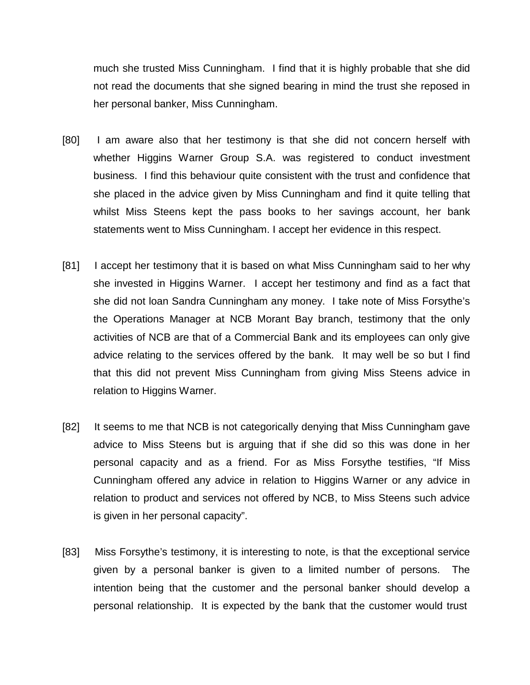much she trusted Miss Cunningham. I find that it is highly probable that she did not read the documents that she signed bearing in mind the trust she reposed in her personal banker, Miss Cunningham.

- [80] I am aware also that her testimony is that she did not concern herself with whether Higgins Warner Group S.A. was registered to conduct investment business. I find this behaviour quite consistent with the trust and confidence that she placed in the advice given by Miss Cunningham and find it quite telling that whilst Miss Steens kept the pass books to her savings account, her bank statements went to Miss Cunningham. I accept her evidence in this respect.
- [81] I accept her testimony that it is based on what Miss Cunningham said to her why she invested in Higgins Warner. I accept her testimony and find as a fact that she did not loan Sandra Cunningham any money. I take note of Miss Forsythe's the Operations Manager at NCB Morant Bay branch, testimony that the only activities of NCB are that of a Commercial Bank and its employees can only give advice relating to the services offered by the bank. It may well be so but I find that this did not prevent Miss Cunningham from giving Miss Steens advice in relation to Higgins Warner.
- [82] It seems to me that NCB is not categorically denying that Miss Cunningham gave advice to Miss Steens but is arguing that if she did so this was done in her personal capacity and as a friend. For as Miss Forsythe testifies, "If Miss Cunningham offered any advice in relation to Higgins Warner or any advice in relation to product and services not offered by NCB, to Miss Steens such advice is given in her personal capacity".
- [83] Miss Forsythe's testimony, it is interesting to note, is that the exceptional service given by a personal banker is given to a limited number of persons. The intention being that the customer and the personal banker should develop a personal relationship. It is expected by the bank that the customer would trust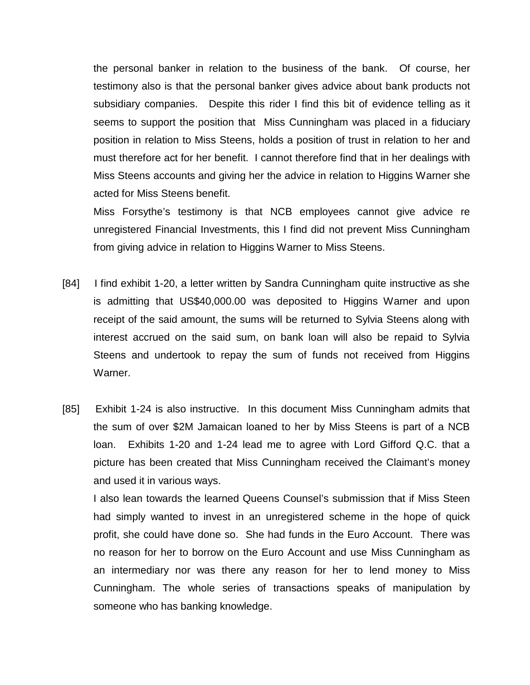the personal banker in relation to the business of the bank. Of course, her testimony also is that the personal banker gives advice about bank products not subsidiary companies. Despite this rider I find this bit of evidence telling as it seems to support the position that Miss Cunningham was placed in a fiduciary position in relation to Miss Steens, holds a position of trust in relation to her and must therefore act for her benefit. I cannot therefore find that in her dealings with Miss Steens accounts and giving her the advice in relation to Higgins Warner she acted for Miss Steens benefit.

Miss Forsythe's testimony is that NCB employees cannot give advice re unregistered Financial Investments, this I find did not prevent Miss Cunningham from giving advice in relation to Higgins Warner to Miss Steens.

- [84] I find exhibit 1-20, a letter written by Sandra Cunningham quite instructive as she is admitting that US\$40,000.00 was deposited to Higgins Warner and upon receipt of the said amount, the sums will be returned to Sylvia Steens along with interest accrued on the said sum, on bank loan will also be repaid to Sylvia Steens and undertook to repay the sum of funds not received from Higgins Warner.
- [85] Exhibit 1-24 is also instructive. In this document Miss Cunningham admits that the sum of over \$2M Jamaican loaned to her by Miss Steens is part of a NCB loan. Exhibits 1-20 and 1-24 lead me to agree with Lord Gifford Q.C. that a picture has been created that Miss Cunningham received the Claimant's money and used it in various ways.

I also lean towards the learned Queens Counsel's submission that if Miss Steen had simply wanted to invest in an unregistered scheme in the hope of quick profit, she could have done so. She had funds in the Euro Account. There was no reason for her to borrow on the Euro Account and use Miss Cunningham as an intermediary nor was there any reason for her to lend money to Miss Cunningham. The whole series of transactions speaks of manipulation by someone who has banking knowledge.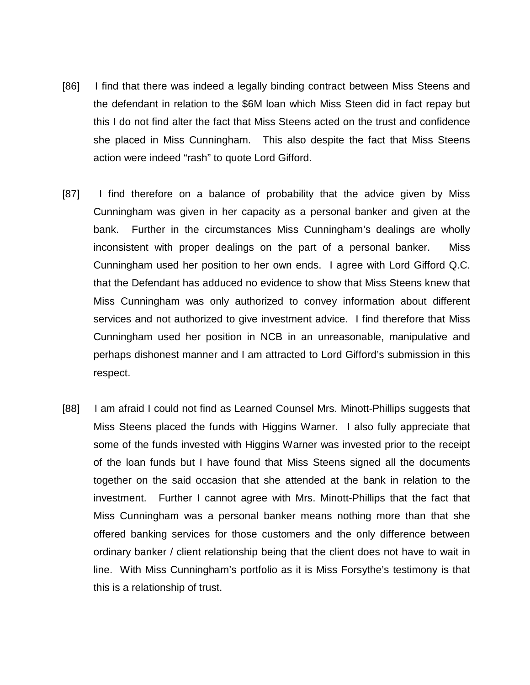- [86] I find that there was indeed a legally binding contract between Miss Steens and the defendant in relation to the \$6M loan which Miss Steen did in fact repay but this I do not find alter the fact that Miss Steens acted on the trust and confidence she placed in Miss Cunningham. This also despite the fact that Miss Steens action were indeed "rash" to quote Lord Gifford.
- [87] I find therefore on a balance of probability that the advice given by Miss Cunningham was given in her capacity as a personal banker and given at the bank. Further in the circumstances Miss Cunningham's dealings are wholly inconsistent with proper dealings on the part of a personal banker. Miss Cunningham used her position to her own ends. I agree with Lord Gifford Q.C. that the Defendant has adduced no evidence to show that Miss Steens knew that Miss Cunningham was only authorized to convey information about different services and not authorized to give investment advice. I find therefore that Miss Cunningham used her position in NCB in an unreasonable, manipulative and perhaps dishonest manner and I am attracted to Lord Gifford's submission in this respect.
- [88] I am afraid I could not find as Learned Counsel Mrs. Minott-Phillips suggests that Miss Steens placed the funds with Higgins Warner. I also fully appreciate that some of the funds invested with Higgins Warner was invested prior to the receipt of the loan funds but I have found that Miss Steens signed all the documents together on the said occasion that she attended at the bank in relation to the investment. Further I cannot agree with Mrs. Minott-Phillips that the fact that Miss Cunningham was a personal banker means nothing more than that she offered banking services for those customers and the only difference between ordinary banker / client relationship being that the client does not have to wait in line. With Miss Cunningham's portfolio as it is Miss Forsythe's testimony is that this is a relationship of trust.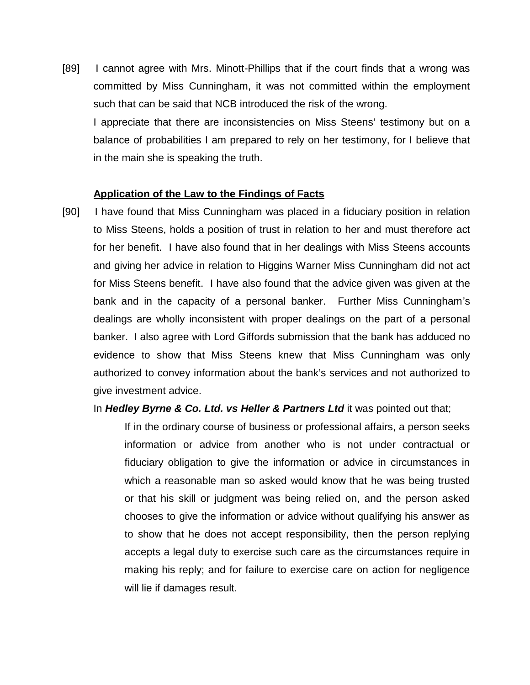[89] I cannot agree with Mrs. Minott-Phillips that if the court finds that a wrong was committed by Miss Cunningham, it was not committed within the employment such that can be said that NCB introduced the risk of the wrong. I appreciate that there are inconsistencies on Miss Steens' testimony but on a balance of probabilities I am prepared to rely on her testimony, for I believe that in the main she is speaking the truth.

#### **Application of the Law to the Findings of Facts**

[90] I have found that Miss Cunningham was placed in a fiduciary position in relation to Miss Steens, holds a position of trust in relation to her and must therefore act for her benefit. I have also found that in her dealings with Miss Steens accounts and giving her advice in relation to Higgins Warner Miss Cunningham did not act for Miss Steens benefit. I have also found that the advice given was given at the bank and in the capacity of a personal banker. Further Miss Cunningham's dealings are wholly inconsistent with proper dealings on the part of a personal banker. I also agree with Lord Giffords submission that the bank has adduced no evidence to show that Miss Steens knew that Miss Cunningham was only authorized to convey information about the bank's services and not authorized to give investment advice.

### In *Hedley Byrne & Co. Ltd. vs Heller & Partners Ltd* it was pointed out that;

If in the ordinary course of business or professional affairs, a person seeks information or advice from another who is not under contractual or fiduciary obligation to give the information or advice in circumstances in which a reasonable man so asked would know that he was being trusted or that his skill or judgment was being relied on, and the person asked chooses to give the information or advice without qualifying his answer as to show that he does not accept responsibility, then the person replying accepts a legal duty to exercise such care as the circumstances require in making his reply; and for failure to exercise care on action for negligence will lie if damages result.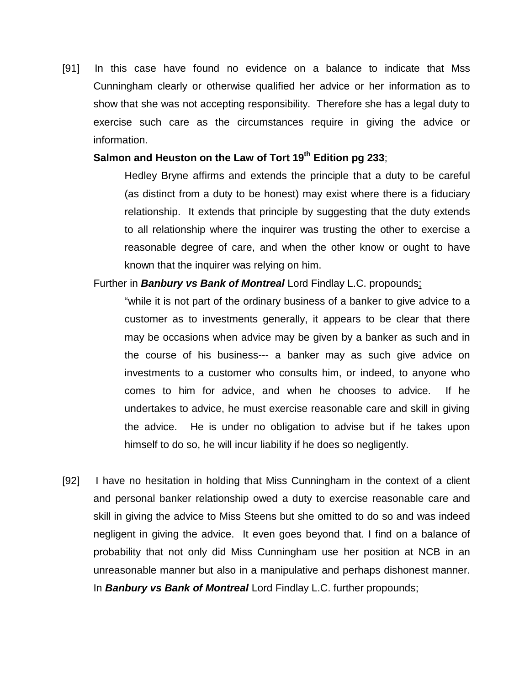[91] In this case have found no evidence on a balance to indicate that Mss Cunningham clearly or otherwise qualified her advice or her information as to show that she was not accepting responsibility. Therefore she has a legal duty to exercise such care as the circumstances require in giving the advice or information.

# **Salmon and Heuston on the Law of Tort 19th Edition pg 233**;

Hedley Bryne affirms and extends the principle that a duty to be careful (as distinct from a duty to be honest) may exist where there is a fiduciary relationship. It extends that principle by suggesting that the duty extends to all relationship where the inquirer was trusting the other to exercise a reasonable degree of care, and when the other know or ought to have known that the inquirer was relying on him.

Further in *Banbury vs Bank of Montreal* Lord Findlay L.C. propounds;

"while it is not part of the ordinary business of a banker to give advice to a customer as to investments generally, it appears to be clear that there may be occasions when advice may be given by a banker as such and in the course of his business--- a banker may as such give advice on investments to a customer who consults him, or indeed, to anyone who comes to him for advice, and when he chooses to advice. If he undertakes to advice, he must exercise reasonable care and skill in giving the advice. He is under no obligation to advise but if he takes upon himself to do so, he will incur liability if he does so negligently.

[92] I have no hesitation in holding that Miss Cunningham in the context of a client and personal banker relationship owed a duty to exercise reasonable care and skill in giving the advice to Miss Steens but she omitted to do so and was indeed negligent in giving the advice. It even goes beyond that. I find on a balance of probability that not only did Miss Cunningham use her position at NCB in an unreasonable manner but also in a manipulative and perhaps dishonest manner. In *Banbury vs Bank of Montreal* Lord Findlay L.C. further propounds;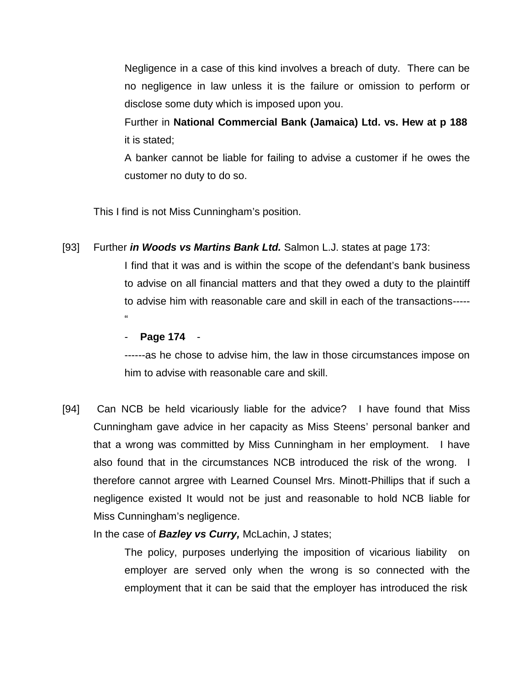Negligence in a case of this kind involves a breach of duty. There can be no negligence in law unless it is the failure or omission to perform or disclose some duty which is imposed upon you.

Further in **National Commercial Bank (Jamaica) Ltd. vs. Hew at p 188** it is stated;

A banker cannot be liable for failing to advise a customer if he owes the customer no duty to do so.

This I find is not Miss Cunningham's position.

[93] Further *in Woods vs Martins Bank Ltd.* Salmon L.J. states at page 173:

I find that it was and is within the scope of the defendant's bank business to advise on all financial matters and that they owed a duty to the plaintiff to advise him with reasonable care and skill in each of the transactions----- "

# - **Page 174** -

------as he chose to advise him, the law in those circumstances impose on him to advise with reasonable care and skill.

[94] Can NCB be held vicariously liable for the advice? I have found that Miss Cunningham gave advice in her capacity as Miss Steens' personal banker and that a wrong was committed by Miss Cunningham in her employment. I have also found that in the circumstances NCB introduced the risk of the wrong. I therefore cannot argree with Learned Counsel Mrs. Minott-Phillips that if such a negligence existed It would not be just and reasonable to hold NCB liable for Miss Cunningham's negligence.

In the case of *Bazley vs Curry,* McLachin, J states;

The policy, purposes underlying the imposition of vicarious liability on employer are served only when the wrong is so connected with the employment that it can be said that the employer has introduced the risk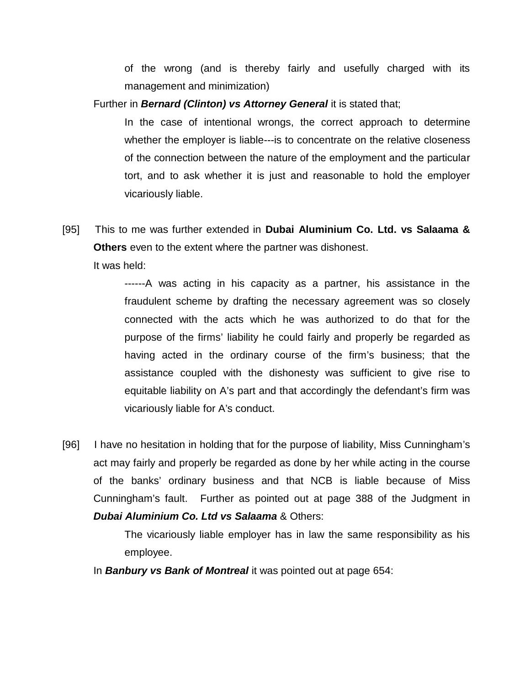of the wrong (and is thereby fairly and usefully charged with its management and minimization)

Further in *Bernard (Clinton) vs Attorney General* it is stated that;

In the case of intentional wrongs, the correct approach to determine whether the employer is liable---is to concentrate on the relative closeness of the connection between the nature of the employment and the particular tort, and to ask whether it is just and reasonable to hold the employer vicariously liable.

[95] This to me was further extended in **Dubai Aluminium Co. Ltd. vs Salaama & Others** even to the extent where the partner was dishonest.

It was held:

------A was acting in his capacity as a partner, his assistance in the fraudulent scheme by drafting the necessary agreement was so closely connected with the acts which he was authorized to do that for the purpose of the firms' liability he could fairly and properly be regarded as having acted in the ordinary course of the firm's business; that the assistance coupled with the dishonesty was sufficient to give rise to equitable liability on A's part and that accordingly the defendant's firm was vicariously liable for A's conduct.

[96] I have no hesitation in holding that for the purpose of liability, Miss Cunningham's act may fairly and properly be regarded as done by her while acting in the course of the banks' ordinary business and that NCB is liable because of Miss Cunningham's fault. Further as pointed out at page 388 of the Judgment in *Dubai Aluminium Co. Ltd vs Salaama* & Others:

> The vicariously liable employer has in law the same responsibility as his employee.

In *Banbury vs Bank of Montreal* it was pointed out at page 654: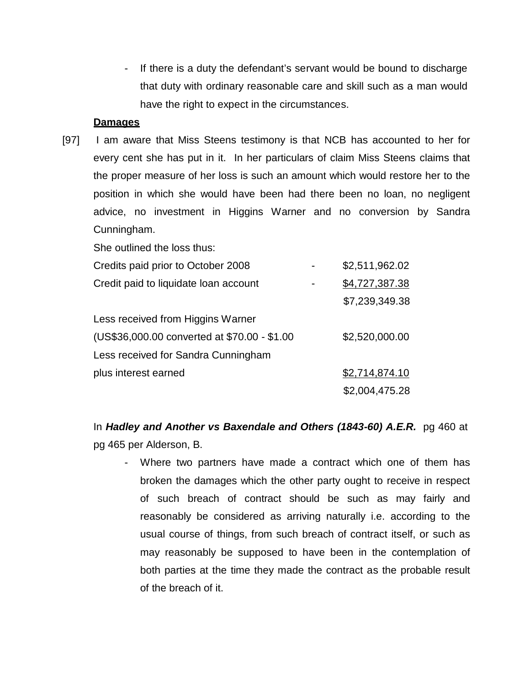- If there is a duty the defendant's servant would be bound to discharge that duty with ordinary reasonable care and skill such as a man would have the right to expect in the circumstances.

### **Damages**

[97] I am aware that Miss Steens testimony is that NCB has accounted to her for every cent she has put in it. In her particulars of claim Miss Steens claims that the proper measure of her loss is such an amount which would restore her to the position in which she would have been had there been no loan, no negligent advice, no investment in Higgins Warner and no conversion by Sandra Cunningham.

She outlined the loss thus:

| Credits paid prior to October 2008           | \$2,511,962.02 |
|----------------------------------------------|----------------|
| Credit paid to liquidate loan account        | \$4,727,387.38 |
|                                              | \$7,239,349.38 |
| Less received from Higgins Warner            |                |
| (US\$36,000.00 converted at \$70.00 - \$1.00 | \$2,520,000.00 |
| Less received for Sandra Cunningham          |                |
| plus interest earned                         | \$2,714,874.10 |
|                                              | \$2,004,475.28 |

In *Hadley and Another vs Baxendale and Others (1843-60) A.E.R.* pg 460 at pg 465 per Alderson, B.

- Where two partners have made a contract which one of them has broken the damages which the other party ought to receive in respect of such breach of contract should be such as may fairly and reasonably be considered as arriving naturally i.e. according to the usual course of things, from such breach of contract itself, or such as may reasonably be supposed to have been in the contemplation of both parties at the time they made the contract as the probable result of the breach of it.